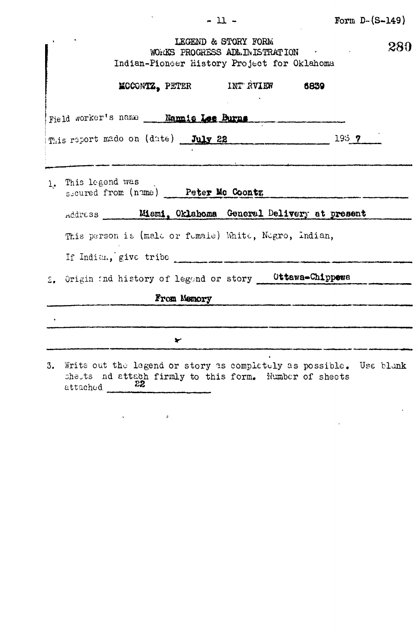$\mathcal{L}^{\text{max}}_{\text{max}}$ 

 $\sim 10^{-11}$ 

| LEGEND & STORY FORM<br>WORKS PROGRESS ADMINISTRATION CONTRACT ON<br>Indian-Pioneer History Project for Oklahoma                                           | 280 |
|-----------------------------------------------------------------------------------------------------------------------------------------------------------|-----|
| <b>MCCONTZ, PETER</b> INT AVIER 6839                                                                                                                      |     |
| Field worker's name __ Nammie Lee Burns                                                                                                                   |     |
| 193 <sub>7</sub><br>This report made on (date) July 22                                                                                                    |     |
|                                                                                                                                                           |     |
| 1. This legend was<br>secured from (name) Peter Mc Coontz                                                                                                 |     |
| Address Mismi, Oklahoma General Delivery at present                                                                                                       |     |
| This person is (male or fumale) White, Negro, Indian,                                                                                                     |     |
| If Indian, give tribe                                                                                                                                     |     |
| 2. Origin and history of legend or story Cttawa-Chippewa                                                                                                  |     |
| From Memory                                                                                                                                               |     |
|                                                                                                                                                           |     |
| ➤                                                                                                                                                         |     |
| 3. Write out the legend or story as completely as possible. Use blank<br>shets nd attach firmly to this form. Number of sheets<br>22.<br>${\tt attachcd}$ |     |

 $-11-$ 

 $\label{eq:1} \frac{1}{2} \sum_{i=1}^n \frac{1}{2} \sum_{j=1}^n \frac{1}{2} \sum_{j=1}^n \frac{1}{2} \sum_{j=1}^n \frac{1}{2} \sum_{j=1}^n \frac{1}{2} \sum_{j=1}^n \frac{1}{2} \sum_{j=1}^n \frac{1}{2} \sum_{j=1}^n \frac{1}{2} \sum_{j=1}^n \frac{1}{2} \sum_{j=1}^n \frac{1}{2} \sum_{j=1}^n \frac{1}{2} \sum_{j=1}^n \frac{1}{2} \sum_{j=1}^n \frac{1}{$ 

 $\label{eq:2.1} \begin{array}{lllllllll} \mathcal{L}_{\mathcal{A}}(\mathcal{A}) & \mathcal{L}_{\mathcal{A}}(\mathcal{A}) & \mathcal{L}_{\mathcal{A}}(\mathcal{A}) & \mathcal{L}_{\mathcal{A}}(\mathcal{A}) & \mathcal{L}_{\mathcal{A}}(\mathcal{A}) & \mathcal{L}_{\mathcal{A}}(\mathcal{A}) & \mathcal{L}_{\mathcal{A}}(\mathcal{A}) & \mathcal{L}_{\mathcal{A}}(\mathcal{A}) & \mathcal{L}_{\mathcal{A}}(\mathcal{A}) & \mathcal{L}_{\mathcal{A}}(\mathcal{A}) & \mathcal{L}_{\mathcal{$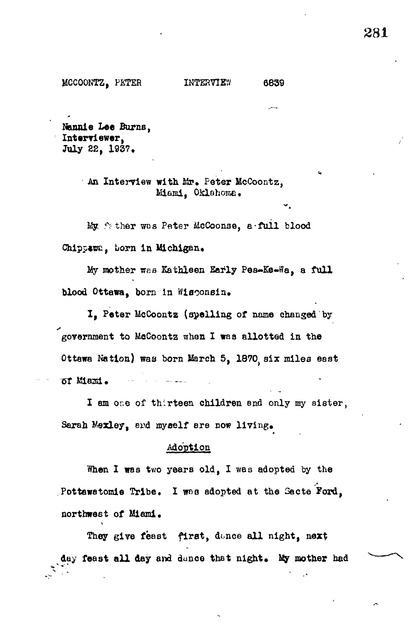Nannie Lee Burns, Interviewer, July 22, 1937.

> An Interview with Mr. Peter McCoontz. Mismi, Oklahoma.

6839

My father was Peter McCoonse, a full blood Chippawn, born in Michigan.

My mother was Kathleen Early Pea-Ke-Wa, a full blood Ottawa, born in Wisconsin.

I. Peter McCoontz (spelling of name changed by government to McCoontz when I was allotted in the Ottawa Nation) was born March 5, 1870 six miles east of Mani.

I am one of thirteen children and only my sister, Sarah Mexley, and myself are now living.

## Adoption

When I was two years old, I was adopted by the Pottawatomis Tribe. I was adopted at the Sacte Ford. northwest of Miami.

They give feast first, donce all night, next day feast all day and dance that night. My mother had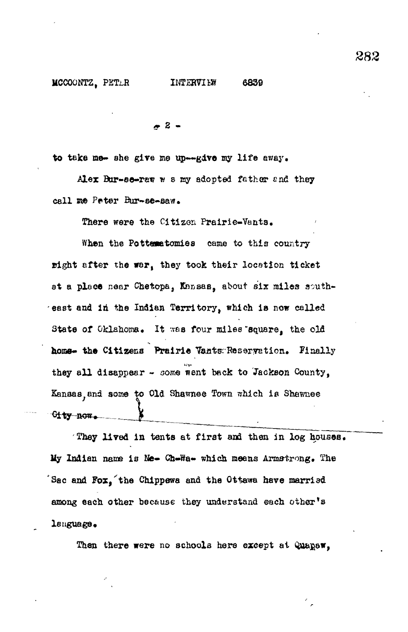**T 2 -**

to take me- she give *me* up—give ray life away.

Alex Bur-se-raw w s my adopted father and they call me Peter Bur-se-saw.

There were the Citizen Prairie-Vants.

When the Pottematomies came to this country right after the war, they took their location ticket at a place near Chetopa. Kansas, about six miles southeast and in the Indian Territory, which is now called State of Oklahoma. It was four miles square, the old home- the Citizens Prairie Vants Reservation. Finally they all disappear - some went back to Jackson County, Kansas, and some to Old Shawnee Town which is Shawnee **1** Gity now.

They lived in tents at first and then in log houses. My Indian name is Ne- Ch-Wa- which means Armstrong. The Sac and Fox,'the Chlppewa and the Ottawa have marriad among each other because they understand each other's language •

Then there were no schools here except at Quapsw,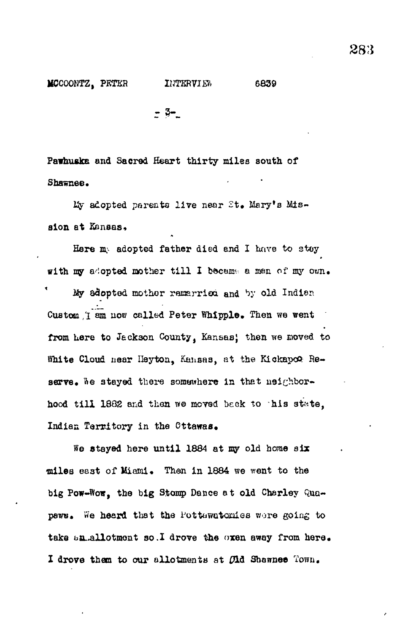$=$  3-

Pawhuska and Sacred Heart thirty miles south of Shawnee.

My adopted parents live near St. Mary's Mission at Kansas,

Here my adopted father died and I have to stoy with my adopted mother till I became a man of my own. My adopted mother remarrice and by old Indian Custom *I* am now called Peter Whipple. Then we went from here to Jackson County, Kansas; then we moved to White Cloud near Heyton, Kansas, at the Kickapco Reserve. We stayed there somewhere in that neighborhood till 1882 and then we moved back to his state, Indian Territory in the Cttawas.

We stayed here until 1884 at my old home six •miles east of Miami• Then in 1884 we went to the big Pow-Wow, the big Stomp Dance at old Charley Quapaws. We heard that the Pottawatcries wore going to take an.allotment so.I drove the oxen away from here. I drove them to our allotments at  $\mathfrak{C}$ ld Shawnee Town.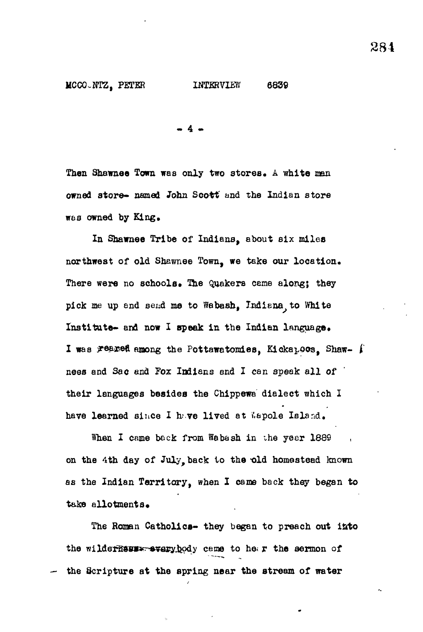- 4 •

Then Shawnee Town was only two stores. A white man owned store- named John Scott and the Indian store was owned by King.

In Shawnee Tribe of Indians, about six miles northwest of old Shawnee Town, we take our location. There were no schools. The Quakers ceme along; they pick me up and send me to Wabash, Indiana, to White Institute- and now I speak in the Indian language. I was reared among the Pottawatomies, Kickapoos, Shaw- i nees and Sac and Fox Indians and I can speak all of their languages besides the Chippewa dialect which I have learned since I have lived at Wapole Island.

When I came back from Webash in the year 1889 on the 4th day of July, back to the old homestead known as the Indian Territory, when I came back they began to take allotments.

The Roman Catholics- they began to preach out into the wilderhess-svery, body ceme to he. r the sermon of the Scripture at the spring near the stream of water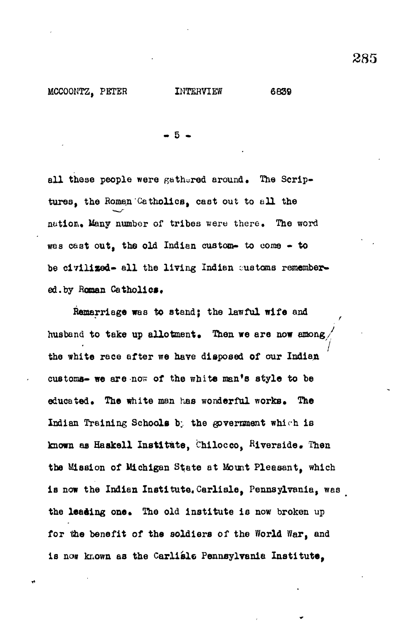MCCOONTZ, PETER INTERVIEW 6839

- 5 •

all these people were gathered around. The Scriptures, the Roman Catholics, cast out to all the nution. Many number of tribes were there. The word was cast out, the old Indian custom- to come - to be civilized- all the living Indian customs remembered.by Roman Catholics.

Remarriage was to stand; the lawful wife and husband to take up allotment. Then we are now among **7** the white race after we have disposed of our Indian customs- we are now of the white man's style to be customs- we are not the white many style to be white many style to be white many style to be white many style to be Indian Training Schools by the government which is Indian Training Schools b; the government which is known as Haskell Institute, Chilocco, Riverside\* Then is now the Indian Institute. Carlisle, Pennsylvania, was the leading one. The old institute is now broken up for the benefit of the soldiers of the World War, and is now known as the Carlisle Pennsylvania Institute,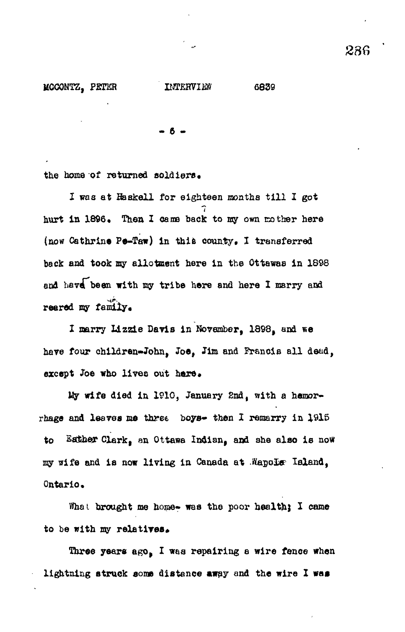14CCONTZ, PETER INTERVIEW 6839

- 6 •

the home of returned soldiers.

I was at Haskell for eighteen months till I got *1* hurt in 1896. Then I came back to my own mother here (now Cathrine Pe-Taw) in this county. I transferred back and took ay allotment here in the Ottawas in 1898 and have been with my tribe here and here I marry and reared my family.

I marry Lizzie Davis in November, 1898, and «e have four children-John, Joe, Jim and Francis all dead, except Joe who lives out here.

My wife died in 1910, January 2nd, with a hemorrhage and leaves me three boys- then I remarry in  $1915$ to Esther Clark, an Ottawa Indian, and she also is now my wife and is now living in Canada at Wapole Island, Ontario.

What brought me home- was the poor health; I came to be with my relatives.

Three years ago, I was repairing a wire fence when lightning struck some distance away and the wire X was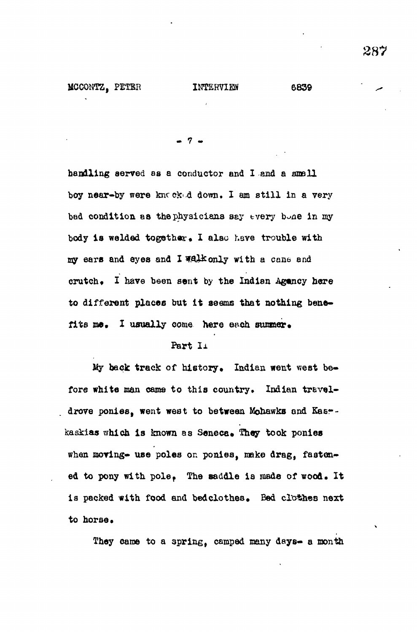**- 7 -**

handling served as a conductor and I and a small boy near-by were kntckud down. I am still in a very bad condition as the physicians say tvery bone in my body is welded together. I also have trouble with my ears and eyes and I WAil&only with a cane and crutch. I have been sent by the Indian Agoncy here to different places but it seems that nothing benefits me. I usually come here each summer.

#### Part *Ix*

My back track of history. Indian went west before white man cams to this country. Indian travel**drove ponies, went west to between Mohawks and Kasrkaskias which is known as Senece» They took ponies when moving- use poles or. ponies, make drag, fasten**ed to pony with pole. The saddle is made of wood. It is packed with food and bedclothes. Bed clothes next to horse.

**They came to a spring, camped xaany days- a month**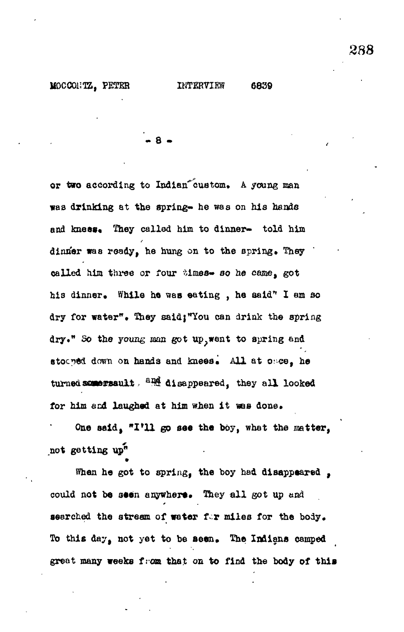MOCCONTZ. PETER INTERVIEW 6839

**• 8 -**

or two according to Indian custom. A young man was drinking at the spring- he was on his hands and knees. They called him to dinner- told him dinner was ready, he hung on to the spring. They called him three or four times- so he came, got his dinner. While he was eating , he said" I am so dry for water\*• They saidj\*You can drink the spring dry." So the young man got up, went to spring and stocyed down on hands and knees. All at once, he turned semersault, <sup>and</sup> disappeared, they all looked for him and laughed at him when it was done.

One said, "I'll go see the boy, what the matter, not getting  $\mathbf{u}\mathbf{p}^n$ 

When he got to spring, the boy had disappeared, could not be seen anywhere. They all got up and searched the stream of water for miles for the body. To this day, not yet to be seen. The Indians camped great many weeks from that on to find the body of this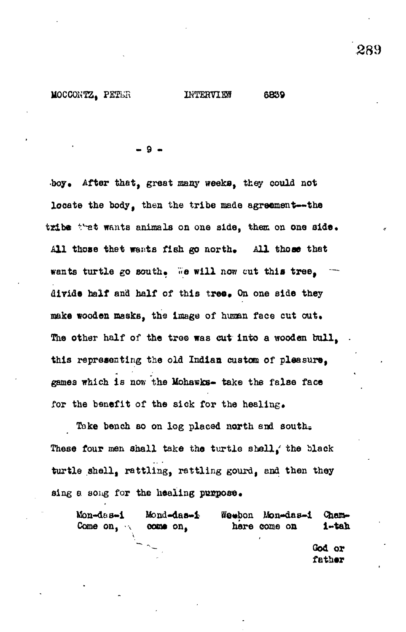- 9 -

boy. After that, great many weeks, they could not locate the body, then the tribe made agreement--- the tribe that wants animals on one side, them on one side. All those that wants fish go north. All those that wants turtle go south. We will now cut this tree. divide half and half of this tree. On one side they make wooden masks, the image of human face cut out. The other half of the tree was cut into a wooden bull, this representing the old Indian custom of pleasure, games which is now the Mohawks- take the false face for the benefit of the sick for the healing.

Take bench so on log placed north and south. These four men shall take the turtle shell, the black turtle shell, rattling, rattling gourd, end then they sing a song for the healing  $pumpos\theta_*$ 

Mon-das-i Mond-das-i Weebon Mon-das-i Cham-Come on,  $\sim$  come on, here come on i-tah God or

father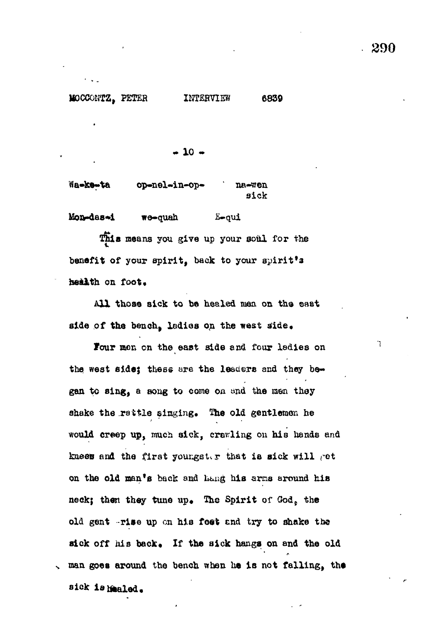Ĩ.

# M0CCONTZ, PETER INTERVIEW 6839

 $-10 -$ 

Wa-ke-ta op-nel-in-op- na-wen sick

Mon-das-i we-quah E-oui

This means you give up your soul for the benefit of your spirit, back to your spirit's health on foot.

All those sick to be healed men on the east side of the bench, ladies on the west side.

Four mon on the east side and four ladies on the west side; these are the leaders and they began to sing, a song to come on and the men they shake the rattle singing. The old gentlemen he would creep up, much sick, crawling on his hands and knees and the first youngster that is sick will got on the old man's back and hang his arms around his neck; then they tune up. The Spirit of God, the old gent -rise up en his foot end try to shake the sick off his back. If the sick hangs on and the old , man goes around the bench when he is not falling, the

sick is healed.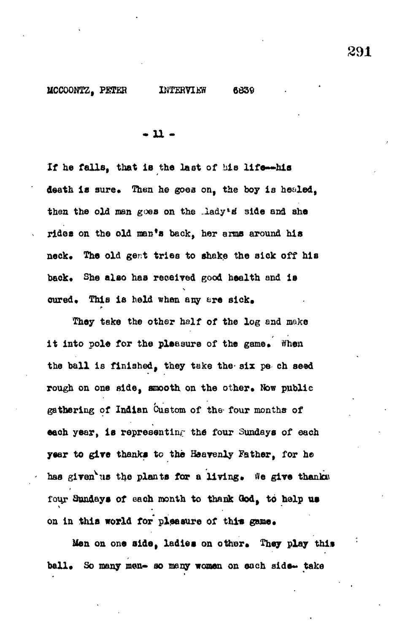**• u -**

r

**If he falls, that ie the last of bis life—his** death is sure. Then he goes on, the boy is healed, **then the old man goes on the ..iady\*s" side and she** rides on the old man's back, her arms around his neck. The old gent tries to shake the sick off his back. She also has received good health and is cured. This is held when any ere sick.

**They take the other half of the log and make** it into pole for the pleasure of the game. When **the ball is finished, they take the- six pe ch seed** rough on one side, smooth on the other. Now public **gathering of Indian Custom of the- four months of each year, is representing the four Sundays of each year to give thanks to the Heavenly Father, for he** has given us the plants for a living. We give thanks four Sundays of each month to thank God, to help us on in this world for pleasure of this game.

Men on one side, ladies on other. They play this ball. So many men- so many women on each side- take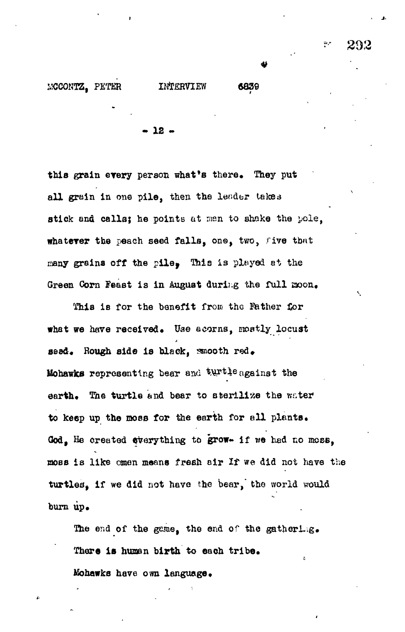$-12 -$ 

this grain every person what's there. They put all grain in one pile, then the lender takes stick and calls; he points at man to shake the pole, whatever the peach seed falls, ons, two, five that many grains off the pile, This is played at the Green Corn Feast is in August during the full moon.

This is for the benefit from the Father for what we have received. Use acorns, mostly locust seed. Rough side is black, smooth red. Mohawks representing bear and turtle against the earth. The turtle and bear to aterilize the water to keep up the moss for the earth for ell plants. God, He created everything to grow- if we had no moss, aoss is like omen means fresh air *If* we did not have the turtles, if we did not have the bear, the world would burn up.

The end of the game, the end of the gathering. There is human birth to each tribe. Mohawks have own language.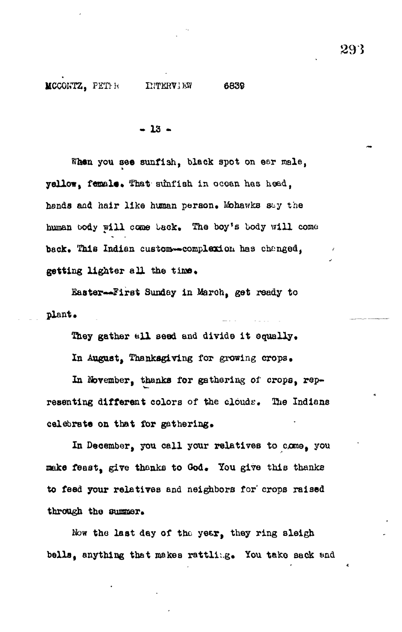• 13 •

When you see sunfish, black spot on ear male, yellow, female. That sunfish in ocean has head, hands and hair like human person. Mohawks say the human body will come back. The boy's body will come back. This Indian custom-complexion has changed, getting lighter all the time.

Easter--First Sunday in March, get ready to plant.

They gather all seed and divide it equally.

In August, Thanksgiving for growing crops.

In November, thanks for gathering of crops, representing different colors of the clouds. The Indians celebrate on that for gathering.

In December, you call your relatives to come, you make feast, give thanks to God. You give this thanks to feed your relatives and neighbors for' crops raised through the summer.

Now the last day of the year, they ring sleigh bells, anything that makes rattling. You take sack and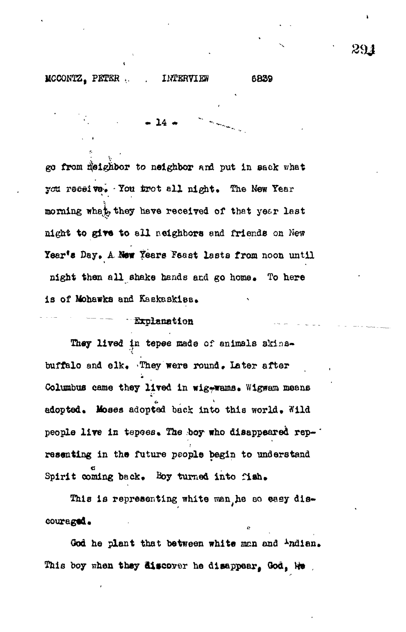### KCCONTZ, PETER ... IMTERVIEW 6839

 $\bullet$  14  $\bullet$ 

go from neighbor to neighbor and put in sack what you receive. You trot all night. The New Year morning whethe they have received of that year last night to give to all neighbors and friends on New Year's Day, A New Years Fsast lasts from noon until night then all shake hands and go home. To here is of Mohawks and Ksekeskies,

#### - Explanation

They lived in tepee made of animals skinsbuffalo and elk. They were round. Later after Columbus came they lived in wig-wams. Wigwam means adopted. Moses adopted back into this world. Wild people live in tepees. The boy who disappeared rep-" resenting in the future people begin to understand Spirit coming back. Boy turned into fish. Spirit coming back\* Boy turned into fish.

This is representing white man he so easy discouraged\*

God he plant that between white man and <sup>i</sup>ndian. This boy when they ditcovor he disappear<sup>f</sup> Ood,

291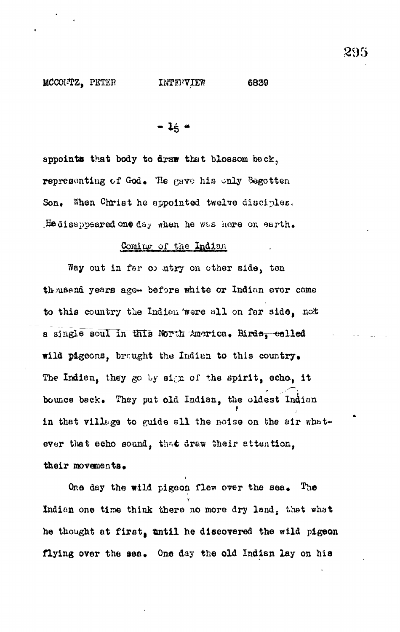**- 1**é "

appoints that body to draw that blossom back. representing of God. He gave his only Begotten Son. When Christ he appointed twelve disciples. He disappeared one day when he was here on earth.

#### Coming of the Indian

Way out in far co ntry on other side, ten th usend years ago- before white or Indian ever came to this country the Indian were all on far side, not a single soul in this North America. Birds, called wild pigeons, brought the Indian to this country. The Indian, they go by sign of the spirit, echo, it bounce back. They put old Indian, the oldest Indian in that village to guide all the noise on the air whatever that echo sound, that draw their attention, their movements.

One day the wild pigeon flew over the sea. The Indian one time think there no more dry land, that what he thought at first, until he discovered the wild pigeon flying over the sea. One day the old Indian lay on his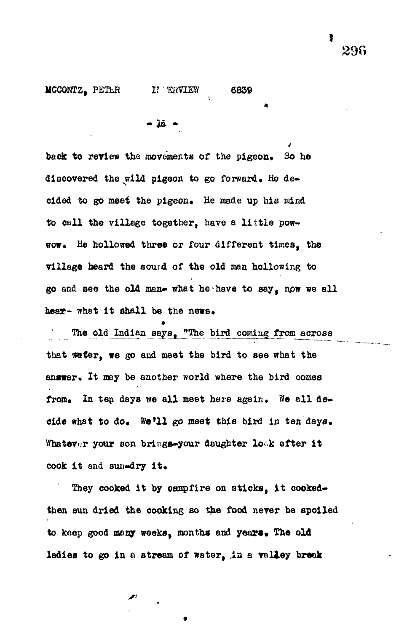MCCONTZ, PETLR I? TRVIEW 6839

$$
\bullet \ \bar{1}\hat{6} \ \bullet
$$

back to review the movements of the pigeon. So he discovered the wild pigeon to go forward. He decided to go meet the pigeon. He made up his mind to call the village together, have a little powwow. He hollowed three or four different times, the village heard the sound of the old man hollowing to go and see the old man- what he have to say, now we all hear- what it shall be the news.

The old Indian says, "The bird coming from across that we fer, we go and meet the bird to see what the answer. It may be another world where the bird comes from. In ten days we all meet here again. We all decide what to do. We'll go meet this bird in ten days. Whatever your son brings-your daughter look after it cook it and sum-dry it.

They cooked it by campfire on sticks, it cookedthen sun dried the cooking so the food never be spoiled to keep good many weeks, months and years. The old ladies to go in a stream of water, in a valley break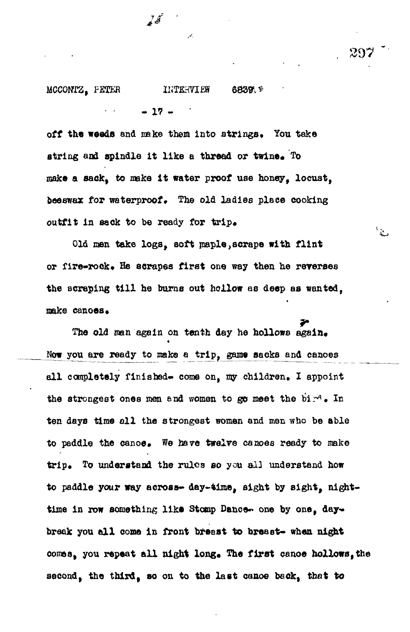#### MCCONTZ, PETER IKTERVIEW 6839 F

 $- 17 -$ 

off the weeds and make them into strings. You take string and spindle it like a thread or twine. To make a sack, to make it water proof use honey. locust. beeswax for waterproof. The old ladies place cooking outfit in sack to be ready for trip.

292

 $\frac{1}{2}$ 

Old men take logs, soft maple,scrape with flint or fire-rook. He scrapes first one way then he reverses the scraping till he burns out hollow as deep as wanted. make canoes.

The old man again on tenth day he hollows again. Now you are ready to make a trip, game sacks and canoes all completely finished- come on, my children. I appoint the strongest ones men and women to go meet the bird. In ten days time all the strongest women and men who be able to paddle the canoe. We have twelve canoes ready to make trip. To understand the rules so you all understand how to paddle your way across- day-time, sight by sight, nighttime in row something like Stomp Dance- one by one. daybreak you all come in front breast to breast- when night comes, you repeat all night long. The first canoe hollows, the second, the third, so on to the last canoe beck, that to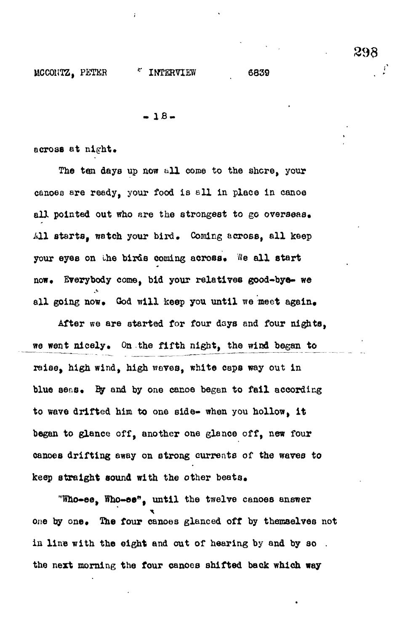**- IB.**

across at  $n$ ight.

The ten days up now all come to the shore, your canoee are ready, your food is ell in place in canoe all pointed out who are the strongest to go overseas, All starts, watch your bird. Coming across, all keep your eyes on the birds coming across. We all start now. Everybody come, bid your relatives good-bye- we all going now. God will keep you until we meet again.

After we are started for four days and four nights, we went nicely. On the fifth night, the wind began to raise, high wind, high wares, white caps way out in blue seas. By and by one canoe began to fail according to wave drifted him to one side- when you hollow, it began to glance off, another one glance off, new four canoes drifting away on strong currents of the waves to keep straight sound with the other beats.

"Who-ee, Who-ee", until the twelve canoes answer one by one. The four canoes glanced off by themselves not in line with the eight and out of hearing by and by so the next morning the four canoes shifted back which way

29a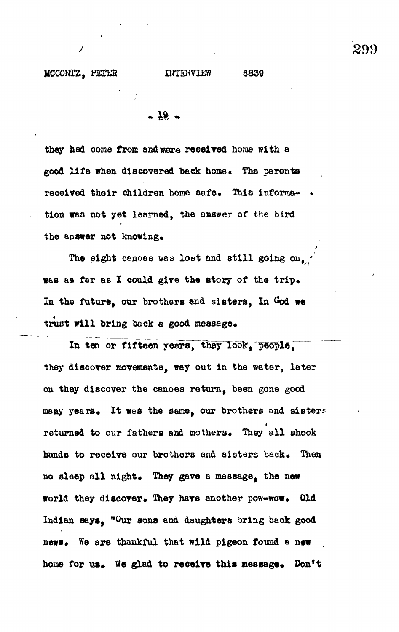**they had come from and were received home with a** good life when discovered back home. The parents received their children home safe. This informa- • **tion was not yet learned, the answer of the bird** the answer not knowing.

The eight canoes was lost and still going on,  $\frac{1}{2}$ was as far as I could give the story of the trip. **In the future, our brothers and sisters, In God we** trust will bring back a good message.

In ten or fifteen years, they look, people, **they discover movements, way out in the water, later on they discover the canoes return, been gone good** many years. It wes the same, our brothers and sisters returned to our fathers and mothers. They all shook hands to receive our brothers and sisters back. Then no sleep all night. They gave a message, the new **world they discover. They have another pow-wow. Old Indian says, "Our sons and daughters bring back good** news. We are thankful that wild pigeon found a new home for us. We glad to receive this message. Don't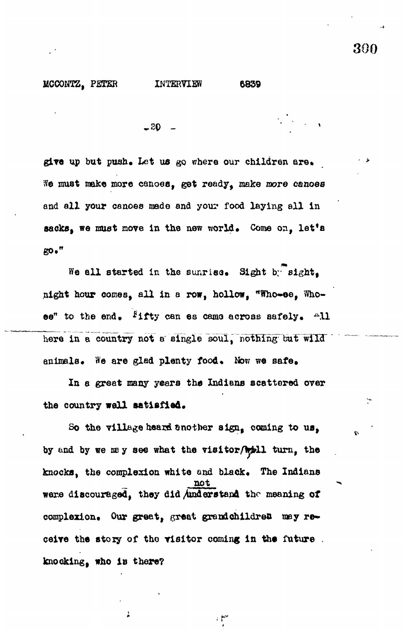$-20$ 

give up but push. Let us go where our children are. We must make more canoes, get ready, make more canoes and all your canoes made and your food laying all in sacks, we must move in the new world. Come on, let's go."

We all started in the sunrisc. Sight by sight. night hour comes, all in a row, hollow, "Who-ee, Whoee" to the end. <sup>F</sup>ifty can es came across safely. All here in a country not a single soul, nothing but wild enimals. We are glad plenty food. Now we safe.

In a great many years the Indians scattered over the country well satisfied.

So the village heard another sign. coming to us, by and by we may see what the visitor will turn, the knocks, the complexion white and black. The Indians were discouraged, they did Anderstand the meaning of complexion. Our great, great grandchildren may receive the story of the visitor coming in the future. knocking, who is there?

من ا

À

300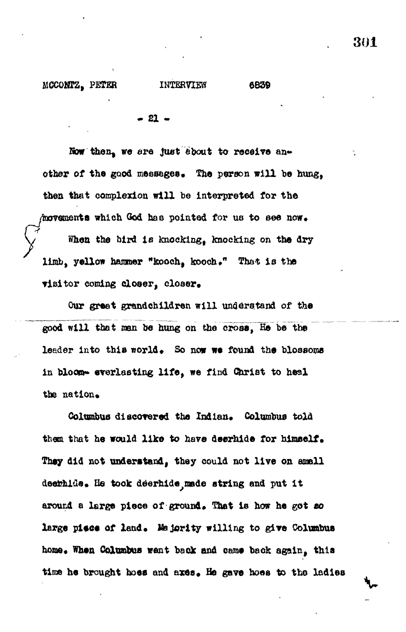#### MCCOHTZ, PETER INTERVIEW 6839

 $-21 -$ 

Now then, we are just about to receive another of the good messages. The person will be hung, **then that complex!on will be Interpreted for the** hovements which God has pointed for us to see now. **When the bird Is knocking, knocking on the dry** limb, yellow hammer "kooch, kooch." That is the visitor coming closer, closer.

**Our greet grandchildren will understand of the good will that man be hung on the cross, He be the** leader into this world. So now we found the blossoms **in bloom- everlasting life , we find Christ to heal** the nation.

Columbus discovered the Indian. Columbus told **them that he would like to have deerhide for himself.** They did not understand, they could not live on amall **deeriil'Je\* He took deerhide^nsde string and put i t** around a large piece of ground. That is how he got so large piece of land. Majority willing to give Columbus home. When Columbus went back and came back again, this time he brought hoes and axes. He gave hoes to the ladies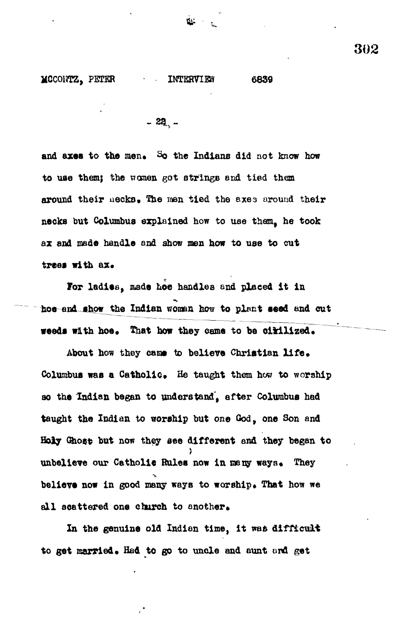**MCCONTZ, PETER INTERVIEW 6839** 

a.<br>Bar

 $-22$ .

and axes to the men. So the Indians did not know how **to use them; the women got strings and tied them** around their necks. The men tied the axes around their **necks but Columbus explained how to use them, he took ax and made handle and show men how to use to cut** trees with ax.

For ladies, made hoe handles and placed it in **hoe and show the Indian women how to plant seed and out weeds with hoe. That how they came to be cirilized.** 

About how they came to believe Christian life. Columbus was a Catholic. He taught them how to worship **so the Indian began to understand', after Columbus had taught the Indian to worship but one God, one Son and Holy Ghost but now they see different and they began to** unbelieve our Catholic Rules now in many ways. They believe now in good many ways to worship. That how we all scattered one church to another.

**In the genuine old Indian time, It was difficult to get married • Had to go to uncle and aunt onfl get**